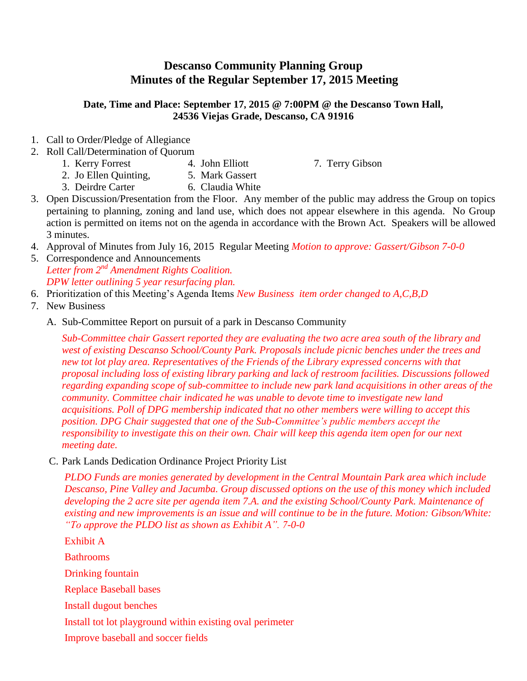## **Descanso Community Planning Group Minutes of the Regular September 17, 2015 Meeting**

## **Date, Time and Place: September 17, 2015 @ 7:00PM @ the Descanso Town Hall, 24536 Viejas Grade, Descanso, CA 91916**

- 1. Call to Order/Pledge of Allegiance
- 2. Roll Call/Determination of Quorum
	- 1. Kerry Forrest 4. John Elliott 7. Terry Gibson

- 2. Jo Ellen Quinting, 5. Mark Gassert
- 3. Deirdre Carter 6. Claudia White
- 3. Open Discussion/Presentation from the Floor. Any member of the public may address the Group on topics pertaining to planning, zoning and land use, which does not appear elsewhere in this agenda. No Group action is permitted on items not on the agenda in accordance with the Brown Act. Speakers will be allowed 3 minutes.
- 4. Approval of Minutes from July 16, 2015 Regular Meeting *Motion to approve: Gassert/Gibson 7-0-0*
- 5. Correspondence and Announcements *Letter from 2nd Amendment Rights Coalition. DPW letter outlining 5 year resurfacing plan.*
- 6. Prioritization of this Meeting's Agenda Items *New Business item order changed to A,C,B,D*
- 7. New Business
	- A. Sub-Committee Report on pursuit of a park in Descanso Community

*Sub-Committee chair Gassert reported they are evaluating the two acre area south of the library and west of existing Descanso School/County Park. Proposals include picnic benches under the trees and new tot lot play area. Representatives of the Friends of the Library expressed concerns with that proposal including loss of existing library parking and lack of restroom facilities. Discussions followed regarding expanding scope of sub-committee to include new park land acquisitions in other areas of the community. Committee chair indicated he was unable to devote time to investigate new land acquisitions. Poll of DPG membership indicated that no other members were willing to accept this position. DPG Chair suggested that one of the Sub-Committee's public members accept the responsibility to investigate this on their own. Chair will keep this agenda item open for our next meeting date.*

C. Park Lands Dedication Ordinance Project Priority List

*PLDO Funds are monies generated by development in the Central Mountain Park area which include Descanso, Pine Valley and Jacumba. Group discussed options on the use of this money which included developing the 2 acre site per agenda item 7.A. and the existing School/County Park. Maintenance of existing and new improvements is an issue and will continue to be in the future. Motion: Gibson/White: "To approve the PLDO list as shown as Exhibit A". 7-0-0*

Exhibit A Bathrooms Drinking fountain Replace Baseball bases Install dugout benches Install tot lot playground within existing oval perimeter Improve baseball and soccer fields